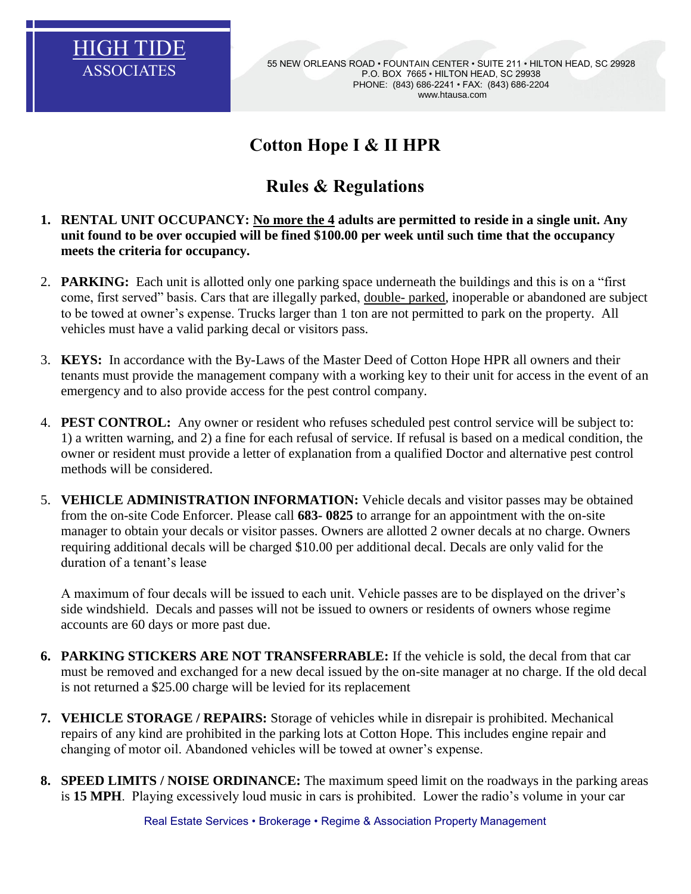

ASSOCIATES 55 NEW ORLEANS ROAD • FOUNTAIN CENTER • SUITE 211 • HILTON HEAD, SC 29928 P.O. BOX 7665 • HILTON HEAD, SC 29938 PHONE: (843) 686-2241 • FAX: (843) 686-2204 www.htausa.com

# **Cotton Hope I & II HPR**

# **Rules & Regulations**

- **1. RENTAL UNIT OCCUPANCY: No more the 4 adults are permitted to reside in a single unit. Any unit found to be over occupied will be fined \$100.00 per week until such time that the occupancy meets the criteria for occupancy.**
- 2. **PARKING:** Each unit is allotted only one parking space underneath the buildings and this is on a "first come, first served" basis. Cars that are illegally parked, double- parked, inoperable or abandoned are subject to be towed at owner's expense. Trucks larger than 1 ton are not permitted to park on the property. All vehicles must have a valid parking decal or visitors pass.
- 3. **KEYS:** In accordance with the By-Laws of the Master Deed of Cotton Hope HPR all owners and their tenants must provide the management company with a working key to their unit for access in the event of an emergency and to also provide access for the pest control company.
- 4. **PEST CONTROL:** Any owner or resident who refuses scheduled pest control service will be subject to: 1) a written warning, and 2) a fine for each refusal of service. If refusal is based on a medical condition, the owner or resident must provide a letter of explanation from a qualified Doctor and alternative pest control methods will be considered.
- 5. **VEHICLE ADMINISTRATION INFORMATION:** Vehicle decals and visitor passes may be obtained from the on-site Code Enforcer. Please call **683- 0825** to arrange for an appointment with the on-site manager to obtain your decals or visitor passes. Owners are allotted 2 owner decals at no charge. Owners requiring additional decals will be charged \$10.00 per additional decal. Decals are only valid for the duration of a tenant's lease

A maximum of four decals will be issued to each unit. Vehicle passes are to be displayed on the driver's side windshield. Decals and passes will not be issued to owners or residents of owners whose regime accounts are 60 days or more past due.

- **6. PARKING STICKERS ARE NOT TRANSFERRABLE:** If the vehicle is sold, the decal from that car must be removed and exchanged for a new decal issued by the on-site manager at no charge. If the old decal is not returned a \$25.00 charge will be levied for its replacement
- **7. VEHICLE STORAGE / REPAIRS:** Storage of vehicles while in disrepair is prohibited. Mechanical repairs of any kind are prohibited in the parking lots at Cotton Hope. This includes engine repair and changing of motor oil. Abandoned vehicles will be towed at owner's expense.
- **8. SPEED LIMITS / NOISE ORDINANCE:** The maximum speed limit on the roadways in the parking areas is **15 MPH**. Playing excessively loud music in cars is prohibited. Lower the radio's volume in your car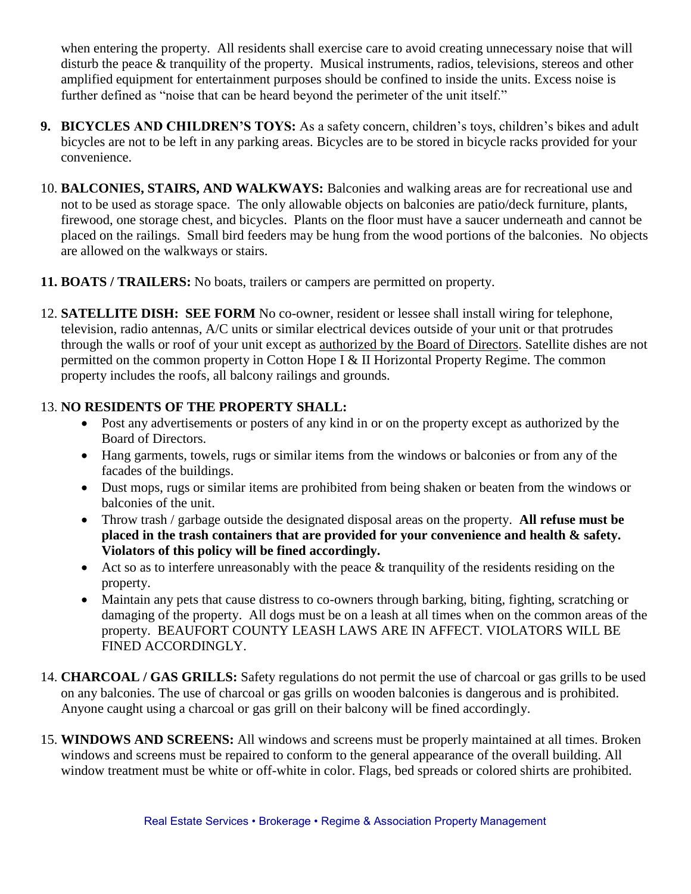when entering the property. All residents shall exercise care to avoid creating unnecessary noise that will disturb the peace & tranquility of the property. Musical instruments, radios, televisions, stereos and other amplified equipment for entertainment purposes should be confined to inside the units. Excess noise is further defined as "noise that can be heard beyond the perimeter of the unit itself."

- **9. BICYCLES AND CHILDREN'S TOYS:** As a safety concern, children's toys, children's bikes and adult bicycles are not to be left in any parking areas. Bicycles are to be stored in bicycle racks provided for your convenience.
- 10. **BALCONIES, STAIRS, AND WALKWAYS:** Balconies and walking areas are for recreational use and not to be used as storage space. The only allowable objects on balconies are patio/deck furniture, plants, firewood, one storage chest, and bicycles. Plants on the floor must have a saucer underneath and cannot be placed on the railings. Small bird feeders may be hung from the wood portions of the balconies. No objects are allowed on the walkways or stairs.
- **11. BOATS / TRAILERS:** No boats, trailers or campers are permitted on property.
- 12. **SATELLITE DISH: SEE FORM** No co-owner, resident or lessee shall install wiring for telephone, television, radio antennas, A/C units or similar electrical devices outside of your unit or that protrudes through the walls or roof of your unit except as authorized by the Board of Directors. Satellite dishes are not permitted on the common property in Cotton Hope I & II Horizontal Property Regime. The common property includes the roofs, all balcony railings and grounds.

### 13. **NO RESIDENTS OF THE PROPERTY SHALL:**

- Post any advertisements or posters of any kind in or on the property except as authorized by the Board of Directors.
- Hang garments, towels, rugs or similar items from the windows or balconies or from any of the facades of the buildings.
- Dust mops, rugs or similar items are prohibited from being shaken or beaten from the windows or balconies of the unit.
- Throw trash / garbage outside the designated disposal areas on the property. **All refuse must be placed in the trash containers that are provided for your convenience and health & safety. Violators of this policy will be fined accordingly.**
- Act so as to interfere unreasonably with the peace & tranquility of the residents residing on the property.
- Maintain any pets that cause distress to co-owners through barking, biting, fighting, scratching or damaging of the property. All dogs must be on a leash at all times when on the common areas of the property. BEAUFORT COUNTY LEASH LAWS ARE IN AFFECT. VIOLATORS WILL BE FINED ACCORDINGLY.
- 14. **CHARCOAL / GAS GRILLS:** Safety regulations do not permit the use of charcoal or gas grills to be used on any balconies. The use of charcoal or gas grills on wooden balconies is dangerous and is prohibited. Anyone caught using a charcoal or gas grill on their balcony will be fined accordingly.
- 15. **WINDOWS AND SCREENS:** All windows and screens must be properly maintained at all times. Broken windows and screens must be repaired to conform to the general appearance of the overall building. All window treatment must be white or off-white in color. Flags, bed spreads or colored shirts are prohibited.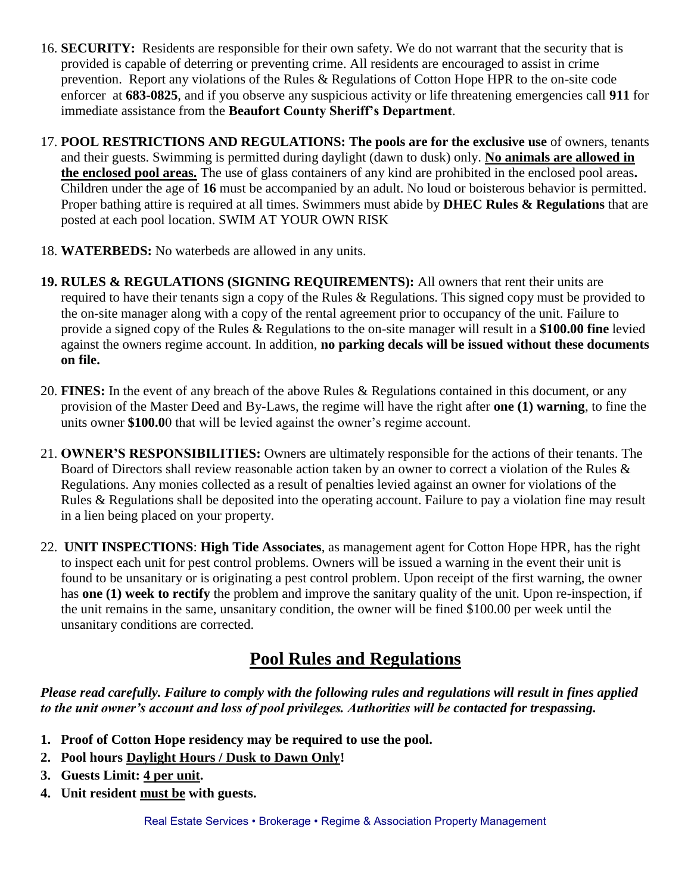- 16. **SECURITY:** Residents are responsible for their own safety. We do not warrant that the security that is provided is capable of deterring or preventing crime. All residents are encouraged to assist in crime prevention. Report any violations of the Rules & Regulations of Cotton Hope HPR to the on-site code enforcer at **683-0825**, and if you observe any suspicious activity or life threatening emergencies call **911** for immediate assistance from the **Beaufort County Sheriff's Department**.
- 17. **POOL RESTRICTIONS AND REGULATIONS: The pools are for the exclusive use** of owners, tenants and their guests. Swimming is permitted during daylight (dawn to dusk) only. **No animals are allowed in the enclosed pool areas.** The use of glass containers of any kind are prohibited in the enclosed pool areas**.**  Children under the age of **16** must be accompanied by an adult. No loud or boisterous behavior is permitted. Proper bathing attire is required at all times. Swimmers must abide by **DHEC Rules & Regulations** that are posted at each pool location. SWIM AT YOUR OWN RISK
- 18. **WATERBEDS:** No waterbeds are allowed in any units.
- **19. RULES & REGULATIONS (SIGNING REQUIREMENTS):** All owners that rent their units are required to have their tenants sign a copy of the Rules & Regulations. This signed copy must be provided to the on-site manager along with a copy of the rental agreement prior to occupancy of the unit. Failure to provide a signed copy of the Rules & Regulations to the on-site manager will result in a **\$100.00 fine** levied against the owners regime account. In addition, **no parking decals will be issued without these documents on file.**
- 20. **FINES:** In the event of any breach of the above Rules & Regulations contained in this document, or any provision of the Master Deed and By-Laws, the regime will have the right after **one (1) warning**, to fine the units owner **\$100.0**0 that will be levied against the owner's regime account.
- 21. **OWNER'S RESPONSIBILITIES:** Owners are ultimately responsible for the actions of their tenants. The Board of Directors shall review reasonable action taken by an owner to correct a violation of the Rules & Regulations. Any monies collected as a result of penalties levied against an owner for violations of the Rules & Regulations shall be deposited into the operating account. Failure to pay a violation fine may result in a lien being placed on your property.
- 22. **UNIT INSPECTIONS**: **High Tide Associates**, as management agent for Cotton Hope HPR, has the right to inspect each unit for pest control problems. Owners will be issued a warning in the event their unit is found to be unsanitary or is originating a pest control problem. Upon receipt of the first warning, the owner has **one (1) week to rectify** the problem and improve the sanitary quality of the unit. Upon re-inspection, if the unit remains in the same, unsanitary condition, the owner will be fined \$100.00 per week until the unsanitary conditions are corrected.

### **Pool Rules and Regulations**

*Please read carefully. Failure to comply with the following rules and regulations will result in fines applied to the unit owner's account and loss of pool privileges. Authorities will be contacted for trespassing.*

- **1. Proof of Cotton Hope residency may be required to use the pool.**
- **2. Pool hours Daylight Hours / Dusk to Dawn Only!**
- **3. Guests Limit: 4 per unit.**
- **4. Unit resident must be with guests.**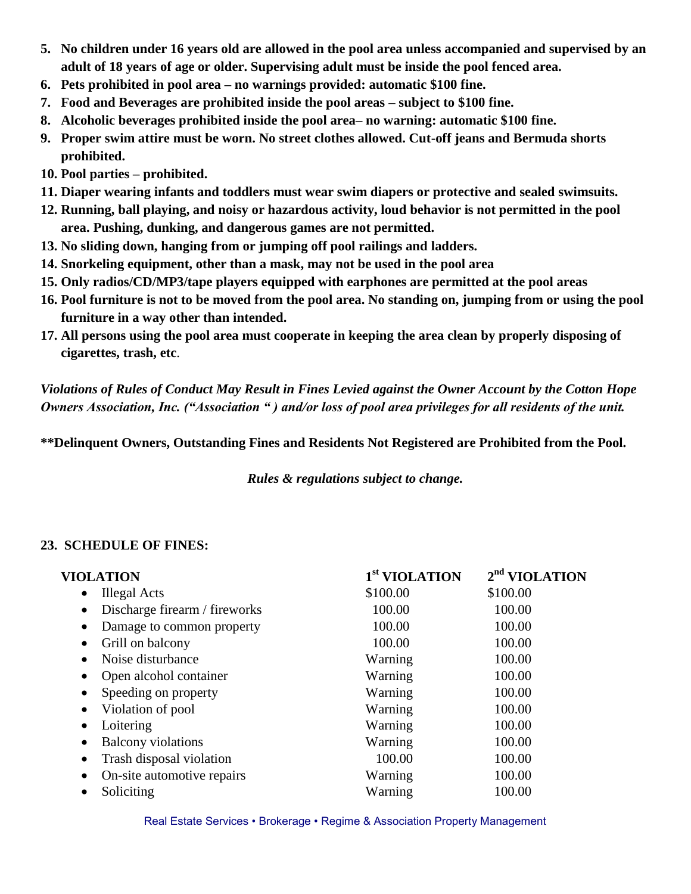- **5. No children under 16 years old are allowed in the pool area unless accompanied and supervised by an adult of 18 years of age or older. Supervising adult must be inside the pool fenced area.**
- **6. Pets prohibited in pool area – no warnings provided: automatic \$100 fine.**
- **7. Food and Beverages are prohibited inside the pool areas – subject to \$100 fine.**
- **8. Alcoholic beverages prohibited inside the pool area– no warning: automatic \$100 fine.**
- **9. Proper swim attire must be worn. No street clothes allowed. Cut-off jeans and Bermuda shorts prohibited.**
- **10. Pool parties – prohibited.**
- **11. Diaper wearing infants and toddlers must wear swim diapers or protective and sealed swimsuits.**
- **12. Running, ball playing, and noisy or hazardous activity, loud behavior is not permitted in the pool area. Pushing, dunking, and dangerous games are not permitted.**
- **13. No sliding down, hanging from or jumping off pool railings and ladders.**
- **14. Snorkeling equipment, other than a mask, may not be used in the pool area**
- **15. Only radios/CD/MP3/tape players equipped with earphones are permitted at the pool areas**
- **16. Pool furniture is not to be moved from the pool area. No standing on, jumping from or using the pool furniture in a way other than intended.**
- **17. All persons using the pool area must cooperate in keeping the area clean by properly disposing of cigarettes, trash, etc**.

*Violations of Rules of Conduct May Result in Fines Levied against the Owner Account by the Cotton Hope Owners Association, Inc. ("Association " ) and/or loss of pool area privileges for all residents of the unit.* 

**\*\*Delinquent Owners, Outstanding Fines and Residents Not Registered are Prohibited from the Pool.**

*Rules & regulations subject to change.*

#### **23. SCHEDULE OF FINES:**

| 1 <sup>st</sup> VIOLATION | $2nd$ VIOLATION |
|---------------------------|-----------------|
| \$100.00                  | \$100.00        |
| 100.00                    | 100.00          |
| 100.00                    | 100.00          |
| 100.00                    | 100.00          |
| Warning                   | 100.00          |
| Warning                   | 100.00          |
| Warning                   | 100.00          |
| Warning                   | 100.00          |
| Warning                   | 100.00          |
| Warning                   | 100.00          |
| 100.00                    | 100.00          |
| Warning                   | 100.00          |
| Warning                   | 100.00          |
|                           |                 |